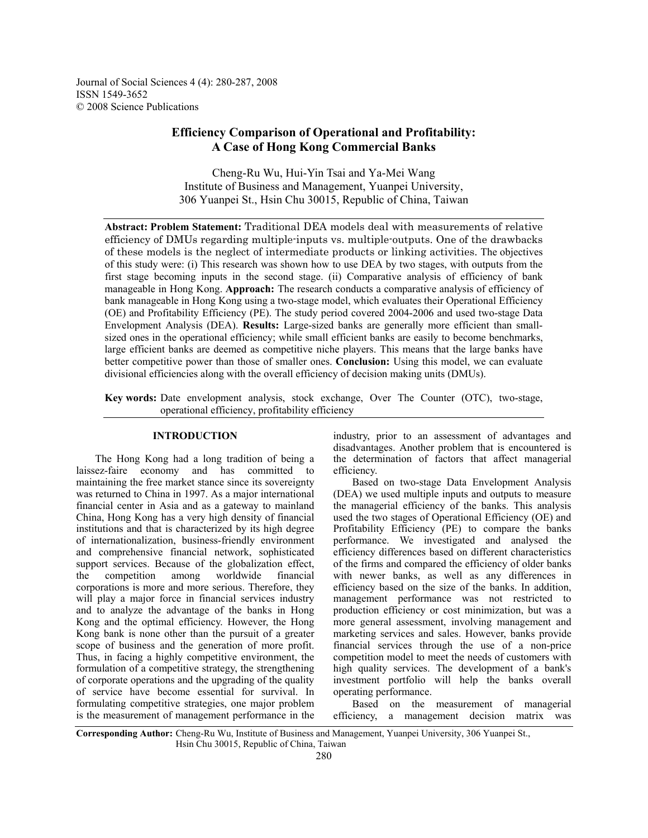Journal of Social Sciences 4 (4): 280-287, 2008 ISSN 1549-3652 © 2008 Science Publications

# **Efficiency Comparison of Operational and Profitability: A Case of Hong Kong Commercial Banks**

Cheng-Ru Wu, Hui-Yin Tsai and Ya-Mei Wang Institute of Business and Management, Yuanpei University, 306 Yuanpei St., Hsin Chu 30015, Republic of China, Taiwan

**Abstract: Problem Statement:** Traditional DEA models deal with measurements of relative efficiency of DMUs regarding multiple-inputs vs. multiple-outputs. One of the drawbacks of these models is the neglect of intermediate products or linking activities. The objectives of this study were: (i) This research was shown how to use DEA by two stages, with outputs from the first stage becoming inputs in the second stage. (ii) Comparative analysis of efficiency of bank manageable in Hong Kong. **Approach:** The research conducts a comparative analysis of efficiency of bank manageable in Hong Kong using a two-stage model, which evaluates their Operational Efficiency (OE) and Profitability Efficiency (PE). The study period covered 2004-2006 and used two-stage Data Envelopment Analysis (DEA). **Results:** Large-sized banks are generally more efficient than smallsized ones in the operational efficiency; while small efficient banks are easily to become benchmarks, large efficient banks are deemed as competitive niche players. This means that the large banks have better competitive power than those of smaller ones. **Conclusion:** Using this model, we can evaluate divisional efficiencies along with the overall efficiency of decision making units (DMUs).

**Key words:** Date envelopment analysis, stock exchange, Over The Counter (OTC), two-stage, operational efficiency, profitability efficiency

## **INTRODUCTION**

 The Hong Kong had a long tradition of being a laissez-faire economy and has committed to maintaining the free market stance since its sovereignty was returned to China in 1997. As a major international financial center in Asia and as a gateway to mainland China, Hong Kong has a very high density of financial institutions and that is characterized by its high degree of internationalization, business-friendly environment and comprehensive financial network, sophisticated support services. Because of the globalization effect, the competition among worldwide financial corporations is more and more serious. Therefore, they will play a major force in financial services industry and to analyze the advantage of the banks in Hong Kong and the optimal efficiency. However, the Hong Kong bank is none other than the pursuit of a greater scope of business and the generation of more profit. Thus, in facing a highly competitive environment, the formulation of a competitive strategy, the strengthening of corporate operations and the upgrading of the quality of service have become essential for survival. In formulating competitive strategies, one major problem is the measurement of management performance in the

industry, prior to an assessment of advantages and disadvantages. Another problem that is encountered is the determination of factors that affect managerial efficiency.

 Based on two-stage Data Envelopment Analysis (DEA) we used multiple inputs and outputs to measure the managerial efficiency of the banks. This analysis used the two stages of Operational Efficiency (OE) and Profitability Efficiency (PE) to compare the banks performance. We investigated and analysed the efficiency differences based on different characteristics of the firms and compared the efficiency of older banks with newer banks, as well as any differences in efficiency based on the size of the banks. In addition, management performance was not restricted to production efficiency or cost minimization, but was a more general assessment, involving management and marketing services and sales. However, banks provide financial services through the use of a non-price competition model to meet the needs of customers with high quality services. The development of a bank's investment portfolio will help the banks overall operating performance.

 Based on the measurement of managerial efficiency, a management decision matrix was

**Corresponding Author:** Cheng-Ru Wu, Institute of Business and Management, Yuanpei University, 306 Yuanpei St., Hsin Chu 30015, Republic of China, Taiwan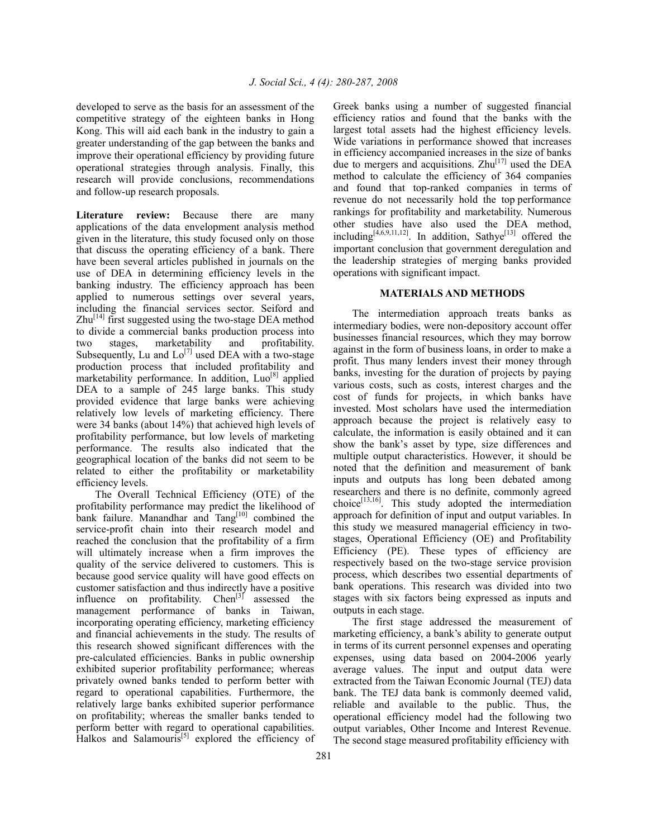developed to serve as the basis for an assessment of the competitive strategy of the eighteen banks in Hong Kong. This will aid each bank in the industry to gain a greater understanding of the gap between the banks and improve their operational efficiency by providing future operational strategies through analysis. Finally, this research will provide conclusions, recommendations and follow-up research proposals.

**Literature review:** Because there are many applications of the data envelopment analysis method given in the literature, this study focused only on those that discuss the operating efficiency of a bank. There have been several articles published in journals on the use of DEA in determining efficiency levels in the banking industry. The efficiency approach has been applied to numerous settings over several years, including the financial services sector. Seiford and  $Zhu^{[14]}$  first suggested using the two-stage DEA method to divide a commercial banks production process into two stages, marketability and profitability. Subsequently, Lu and  $Lo^{[7]}$  used DEA with a two-stage production process that included profitability and marketability performance. In addition,  $LuO^{[8]}$  applied DEA to a sample of 245 large banks. This study provided evidence that large banks were achieving relatively low levels of marketing efficiency. There were 34 banks (about 14%) that achieved high levels of profitability performance, but low levels of marketing performance. The results also indicated that the geographical location of the banks did not seem to be related to either the profitability or marketability efficiency levels.

 The Overall Technical Efficiency (OTE) of the profitability performance may predict the likelihood of bank failure. Manandhar and Tang<sup>[10]</sup> combined the service-profit chain into their research model and reached the conclusion that the profitability of a firm will ultimately increase when a firm improves the quality of the service delivered to customers. This is because good service quality will have good effects on customer satisfaction and thus indirectly have a positive influence on profitability. Chen<sup>[3]</sup> assessed the management performance of banks in Taiwan, incorporating operating efficiency, marketing efficiency and financial achievements in the study. The results of this research showed significant differences with the pre-calculated efficiencies. Banks in public ownership exhibited superior profitability performance; whereas privately owned banks tended to perform better with regard to operational capabilities. Furthermore, the relatively large banks exhibited superior performance on profitability; whereas the smaller banks tended to perform better with regard to operational capabilities. Halkos and Salamouris<sup>[5]</sup> explored the efficiency of

Greek banks using a number of suggested financial efficiency ratios and found that the banks with the largest total assets had the highest efficiency levels. Wide variations in performance showed that increases in efficiency accompanied increases in the size of banks due to mergers and acquisitions.  $Zhu^{[17]}$  used the DEA method to calculate the efficiency of 364 companies and found that top-ranked companies in terms of revenue do not necessarily hold the top performance rankings for profitability and marketability. Numerous other studies have also used the DEA method, including<sup>[4,6,9,11,12]</sup>. In addition, Sathye<sup>[13]</sup> offered the important conclusion that government deregulation and the leadership strategies of merging banks provided operations with significant impact.

## **MATERIALS AND METHODS**

 The intermediation approach treats banks as intermediary bodies, were non-depository account offer businesses financial resources, which they may borrow against in the form of business loans, in order to make a profit. Thus many lenders invest their money through banks, investing for the duration of projects by paying various costs, such as costs, interest charges and the cost of funds for projects, in which banks have invested. Most scholars have used the intermediation approach because the project is relatively easy to calculate, the information is easily obtained and it can show the bank's asset by type, size differences and multiple output characteristics. However, it should be noted that the definition and measurement of bank inputs and outputs has long been debated among researchers and there is no definite, commonly agreed choice $^{[13,16]}$ . This study adopted the intermediation approach for definition of input and output variables. In this study we measured managerial efficiency in twostages, Operational Efficiency (OE) and Profitability Efficiency (PE). These types of efficiency are respectively based on the two-stage service provision process, which describes two essential departments of bank operations. This research was divided into two stages with six factors being expressed as inputs and outputs in each stage.

 The first stage addressed the measurement of marketing efficiency, a bank's ability to generate output in terms of its current personnel expenses and operating expenses, using data based on 2004-2006 yearly average values. The input and output data were extracted from the Taiwan Economic Journal (TEJ) data bank. The TEJ data bank is commonly deemed valid, reliable and available to the public. Thus, the operational efficiency model had the following two output variables, Other Income and Interest Revenue. The second stage measured profitability efficiency with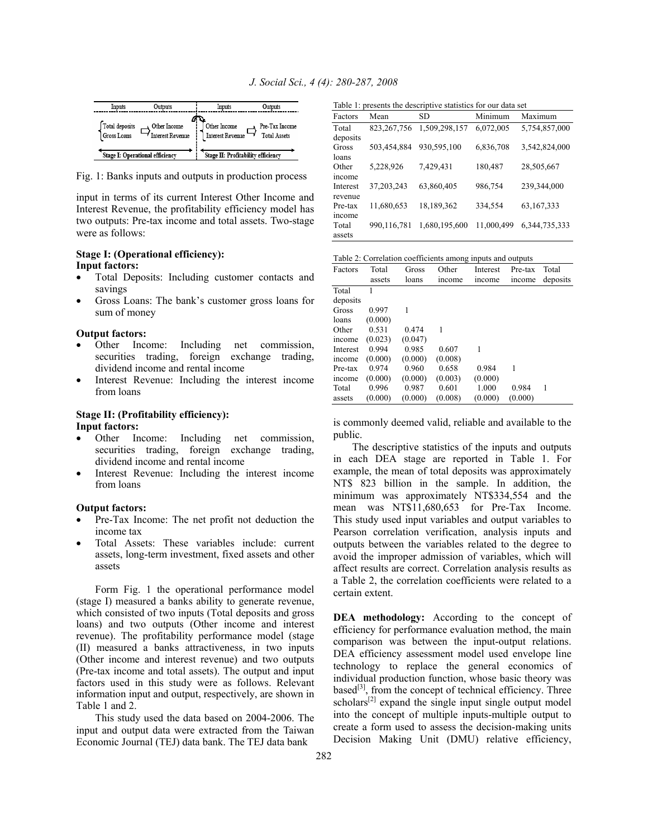| Inputs                        | Outputs                                       | Inputs                                  | Outputs                               |
|-------------------------------|-----------------------------------------------|-----------------------------------------|---------------------------------------|
| Total deposits<br>Gross Loans | Other Income<br><sup>1</sup> Interest Revenue | Other Income<br><b>Interest Revenue</b> | Pre-Tax Income<br><b>Total Assets</b> |
|                               | Stage I: Operational efficiency               | Stage II: Profitability efficiency      |                                       |

Fig. 1: Banks inputs and outputs in production process

input in terms of its current Interest Other Income and Interest Revenue, the profitability efficiency model has two outputs: Pre-tax income and total assets. Two-stage were as follows:

## **Stage I: (Operational efficiency): Input factors:**

- Total Deposits: Including customer contacts and savings
- Gross Loans: The bank's customer gross loans for sum of money

#### **Output factors:**

- Other Income: Including net commission, securities trading, foreign exchange trading, dividend income and rental income
- Interest Revenue: Including the interest income from loans

## **Stage II: (Profitability efficiency): Input factors:**

- Other Income: Including net commission, securities trading, foreign exchange trading, dividend income and rental income
- Interest Revenue: Including the interest income from loans

#### **Output factors:**

- Pre-Tax Income: The net profit not deduction the income tax
- Total Assets: These variables include: current assets, long-term investment, fixed assets and other assets

 Form Fig. 1 the operational performance model (stage I) measured a banks ability to generate revenue, which consisted of two inputs (Total deposits and gross loans) and two outputs (Other income and interest revenue). The profitability performance model (stage (II) measured a banks attractiveness, in two inputs (Other income and interest revenue) and two outputs (Pre-tax income and total assets). The output and input factors used in this study were as follows. Relevant information input and output, respectively, are shown in Table 1 and 2.

 This study used the data based on 2004-2006. The input and output data were extracted from the Taiwan Economic Journal (TEJ) data bank. The TEJ data bank

Table 1: presents the descriptive statistics for our data set

| Factors  | Mean          | SD            | Minimum    | Maximum          |
|----------|---------------|---------------|------------|------------------|
| Total    | 823, 267, 756 | 1,509,298,157 | 6,072,005  | 5,754,857,000    |
| deposits |               |               |            |                  |
| Gross    | 503,454,884   | 930,595,100   | 6,836,708  | 3,542,824,000    |
| loans    |               |               |            |                  |
| Other    | 5,228,926     | 7,429,431     | 180,487    | 28,505,667       |
| income   |               |               |            |                  |
| Interest | 37,203,243    | 63,860,405    | 986,754    | 239,344,000      |
| revenue  |               |               |            |                  |
| Pre-tax  | 11,680,653    | 18,189,362    | 334,554    | 63,167,333       |
| income   |               |               |            |                  |
| Total    | 990,116,781   | 1,680,195,600 | 11,000,499 | 6, 344, 735, 333 |
| assets   |               |               |            |                  |

Table 2: Correlation coefficients among inputs and outputs

| Factors  | Total   | Gross   | Other   | Interest | Pre-tax | Total    |
|----------|---------|---------|---------|----------|---------|----------|
|          | assets  | loans   | income  | income   | income  | deposits |
| Total    |         |         |         |          |         |          |
| deposits |         |         |         |          |         |          |
| Gross    | 0.997   |         |         |          |         |          |
| loans    | (0.000) |         |         |          |         |          |
| Other    | 0.531   | 0.474   | 1       |          |         |          |
| income   | (0.023) | (0.047) |         |          |         |          |
| Interest | 0.994   | 0.985   | 0.607   | 1        |         |          |
| income   | (0.000) | (0.000) | (0.008) |          |         |          |
| Pre-tax  | 0.974   | 0.960   | 0.658   | 0.984    | 1       |          |
| income   | (0.000) | (0.000) | (0.003) | (0.000)  |         |          |
| Total    | 0.996   | 0.987   | 0.601   | 1.000    | 0.984   | 1        |
| assets   | (0.000) | (0.000) | (0.008) | (0.000)  | (0.000) |          |

is commonly deemed valid, reliable and available to the public.

 The descriptive statistics of the inputs and outputs in each DEA stage are reported in Table 1. For example, the mean of total deposits was approximately NT\$ 823 billion in the sample. In addition, the minimum was approximately NT\$334,554 and the mean was NT\$11,680,653 for Pre-Tax Income. This study used input variables and output variables to Pearson correlation verification, analysis inputs and outputs between the variables related to the degree to avoid the improper admission of variables, which will affect results are correct. Correlation analysis results as a Table 2, the correlation coefficients were related to a certain extent.

**DEA methodology:** According to the concept of efficiency for performance evaluation method, the main comparison was between the input-output relations. DEA efficiency assessment model used envelope line technology to replace the general economics of individual production function, whose basic theory was based $[3]$ , from the concept of technical efficiency. Three scholars $^{[2]}$  expand the single input single output model into the concept of multiple inputs-multiple output to create a form used to assess the decision-making units Decision Making Unit (DMU) relative efficiency,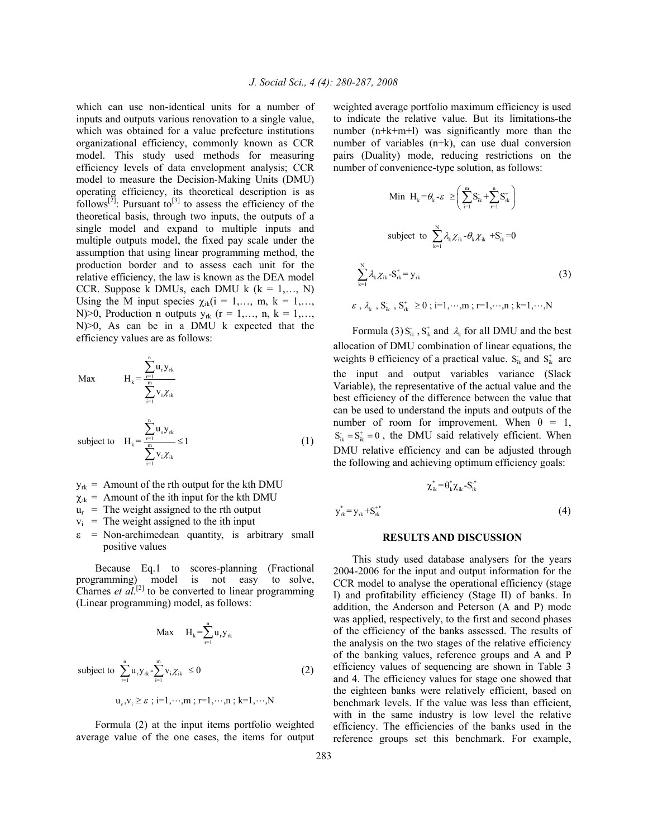which can use non-identical units for a number of inputs and outputs various renovation to a single value, which was obtained for a value prefecture institutions organizational efficiency, commonly known as CCR model. This study used methods for measuring efficiency levels of data envelopment analysis; CCR model to measure the Decision-Making Units (DMU) operating efficiency, its theoretical description is as follows<sup>[2]</sup>: Pursuant to<sup>[3]</sup> to assess the efficiency of the theoretical basis, through two inputs, the outputs of a single model and expand to multiple inputs and multiple outputs model, the fixed pay scale under the assumption that using linear programming method, the production border and to assess each unit for the relative efficiency, the law is known as the DEA model CCR. Suppose k DMUs, each DMU k  $(k = 1, \ldots, N)$ Using the M input species  $\chi_{ik}$  (i = 1,..., m, k = 1,..., N)>0, Production n outputs  $y_{rk}$  (r = 1,..., n, k = 1,..., N)>0, As can be in a DMU k expected that the efficiency values are as follows:

Max 
$$
H_{k} = \frac{\sum_{r=1}^{n} u_{r} y_{rk}}{\sum_{i=1}^{m} v_{i} \chi_{ik}}
$$
  
subject to 
$$
H_{k} = \frac{\sum_{r=1}^{n} u_{r} y_{rk}}{\sum_{i=1}^{m} v_{i} \chi_{ik}} \le 1
$$
 (1)

- $y_{rk}$  = Amount of the rth output for the kth DMU
- $\chi_{ik}$  = Amount of the ith input for the kth DMU
- $u_r$  = The weight assigned to the rth output
- $v_i$  = The weight assigned to the ith input
- $\epsilon$  = Non-archimedean quantity, is arbitrary small positive values

 Because Eq.1 to scores-planning (Fractional programming) model is not easy to solve, Charnes *et*  $aI$ <sup>[2]</sup> to be converted to linear programming (Linear programming) model, as follows:

$$
\text{Max} \quad H_k = \sum_{r=1}^{n} u_r y_{rk}
$$
\n
$$
\text{subject to } \sum_{r=1}^{n} u_r y_{rk} - \sum_{i=1}^{m} v_i \chi_{ik} \le 0 \tag{2}
$$
\n
$$
u_r, v_i \ge \varepsilon \text{ ; i=1, \cdots, m \text{ ; } r=1, \cdots, n \text{ ; } k=1, \cdots, N}
$$

 Formula (2) at the input items portfolio weighted average value of the one cases, the items for output weighted average portfolio maximum efficiency is used to indicate the relative value. But its limitations-the number (n+k+m+l) was significantly more than the number of variables (n+k), can use dual conversion pairs (Duality) mode, reducing restrictions on the number of convenience-type solution, as follows:

Min 
$$
H_k = \theta_k - \varepsilon \ge \left(\sum_{i=1}^m S_{ik}^+ + \sum_{r=1}^n S_{rk}^+\right)
$$
  
\nsubject to  $\sum_{k=1}^N \lambda_k \chi_{ik} \cdot \theta_k \chi_{ik} + S_{ik}^- = 0$   
\n $\sum_{k=1}^N \lambda_k \chi_{ik} \cdot S_{rk}^+ = y_{rk}$  (3)  
\n $\varepsilon$ ,  $\lambda_k$ ,  $S_{ik}^+$ ,  $S_{rk}^+ \ge 0$ ; i=1,...,m; r=1,...,n; k=1,...,N

Formula (3)  $S_{ik}$ ,  $S_{ik}^+$  and  $\lambda_k$  for all DMU and the best allocation of DMU combination of linear equations, the weights  $\theta$  efficiency of a practical value.  $S_{ik}$  and  $S_{ik}^+$  are the input and output variables variance (Slack Variable), the representative of the actual value and the best efficiency of the difference between the value that can be used to understand the inputs and outputs of the number of room for improvement. When  $\theta = 1$ ,  $S_{ik} = S_{ik}^+ = 0$ , the DMU said relatively efficient. When DMU relative efficiency and can be adjusted through the following and achieving optimum efficiency goals:

$$
\chi_{ik} = \theta_k \chi_{ik} - S_{ik}
$$
  
\n
$$
y_{rk}^* = y_{rk} + S_{rk}^{**}
$$
\n(4)

 $*$   $*$   $*$ 

#### **RESULTS AND DISCUSSION**

 This study used database analysers for the years 2004-2006 for the input and output information for the CCR model to analyse the operational efficiency (stage I) and profitability efficiency (Stage II) of banks. In addition, the Anderson and Peterson (A and P) mode was applied, respectively, to the first and second phases of the efficiency of the banks assessed. The results of the analysis on the two stages of the relative efficiency of the banking values, reference groups and A and P efficiency values of sequencing are shown in Table 3 and 4. The efficiency values for stage one showed that the eighteen banks were relatively efficient, based on benchmark levels. If the value was less than efficient, with in the same industry is low level the relative efficiency. The efficiencies of the banks used in the reference groups set this benchmark. For example,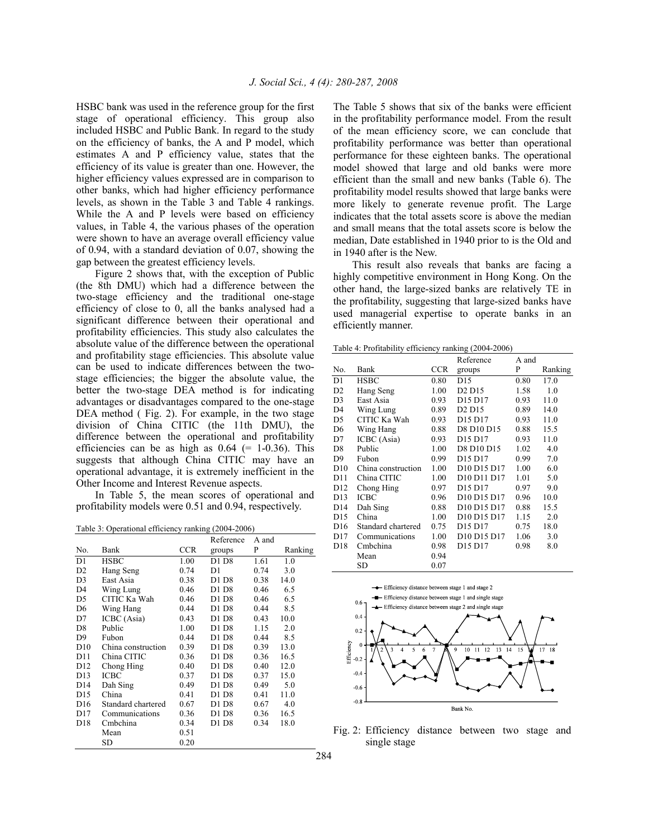HSBC bank was used in the reference group for the first stage of operational efficiency. This group also included HSBC and Public Bank. In regard to the study on the efficiency of banks, the A and P model, which estimates A and P efficiency value, states that the efficiency of its value is greater than one. However, the higher efficiency values expressed are in comparison to other banks, which had higher efficiency performance levels, as shown in the Table 3 and Table 4 rankings. While the A and P levels were based on efficiency values, in Table 4, the various phases of the operation were shown to have an average overall efficiency value of 0.94, with a standard deviation of 0.07, showing the gap between the greatest efficiency levels.

 Figure 2 shows that, with the exception of Public (the 8th DMU) which had a difference between the two-stage efficiency and the traditional one-stage efficiency of close to 0, all the banks analysed had a significant difference between their operational and profitability efficiencies. This study also calculates the absolute value of the difference between the operational and profitability stage efficiencies. This absolute value can be used to indicate differences between the twostage efficiencies; the bigger the absolute value, the better the two-stage DEA method is for indicating advantages or disadvantages compared to the one-stage DEA method ( Fig. 2). For example, in the two stage division of China CITIC (the 11th DMU), the difference between the operational and profitability efficiencies can be as high as  $0.64$  (= 1-0.36). This suggests that although China CITIC may have an operational advantage, it is extremely inefficient in the Other Income and Interest Revenue aspects.

 In Table 5, the mean scores of operational and profitability models were 0.51 and 0.94, respectively.

Table 3: Operational efficiency ranking (2004-2006)

|                 | Fable 5. Operational efficiency rainting (2004-2000) |            |           |       |         |
|-----------------|------------------------------------------------------|------------|-----------|-------|---------|
|                 |                                                      |            | Reference | A and |         |
| No.             | Bank                                                 | <b>CCR</b> | groups    | P     | Ranking |
| D1              | <b>HSBC</b>                                          | 1.00       | D1 D8     | 1.61  | 1.0     |
| D <sub>2</sub>  | Hang Seng                                            | 0.74       | D1        | 0.74  | 3.0     |
| D3              | East Asia                                            | 0.38       | D1 D8     | 0.38  | 14.0    |
| D4              | Wing Lung                                            | 0.46       | D1 D8     | 0.46  | 6.5     |
| D5              | CITIC Ka Wah                                         | 0.46       | D1 D8     | 0.46  | 6.5     |
| D6              | Wing Hang                                            | 0.44       | D1 D8     | 0.44  | 8.5     |
| D7              | ICBC (Asia)                                          | 0.43       | D1 D8     | 0.43  | 10.0    |
| D <sub>8</sub>  | Public                                               | 1.00       | D1 D8     | 1.15  | 2.0     |
| D9              | Fubon                                                | 0.44       | D1 D8     | 0.44  | 8.5     |
| D10             | China construction                                   | 0.39       | D1 D8     | 0.39  | 13.0    |
| D11             | China CITIC                                          | 0.36       | D1 D8     | 0.36  | 16.5    |
| D <sub>12</sub> | Chong Hing                                           | 0.40       | D1 D8     | 0.40  | 12.0    |
| D13             | ICBC                                                 | 0.37       | D1 D8     | 0.37  | 15.0    |
| D <sub>14</sub> | Dah Sing                                             | 0.49       | D1 D8     | 0.49  | 5.0     |
| D <sub>15</sub> | China                                                | 0.41       | D1 D8     | 0.41  | 11.0    |
| D <sub>16</sub> | Standard chartered                                   | 0.67       | D1 D8     | 0.67  | 4.0     |
| D17             | Communications                                       | 0.36       | D1 D8     | 0.36  | 16.5    |
| D18             | Cmbchina                                             | 0.34       | D1 D8     | 0.34  | 18.0    |
|                 | Mean                                                 | 0.51       |           |       |         |
|                 | <b>SD</b>                                            | 0.20       |           |       |         |

The Table 5 shows that six of the banks were efficient in the profitability performance model. From the result of the mean efficiency score, we can conclude that profitability performance was better than operational performance for these eighteen banks. The operational model showed that large and old banks were more efficient than the small and new banks (Table 6). The profitability model results showed that large banks were more likely to generate revenue profit. The Large indicates that the total assets score is above the median and small means that the total assets score is below the median, Date established in 1940 prior to is the Old and in 1940 after is the New.

 This result also reveals that banks are facing a highly competitive environment in Hong Kong. On the other hand, the large-sized banks are relatively TE in the profitability, suggesting that large-sized banks have used managerial expertise to operate banks in an efficiently manner.

Table 4: Profitability efficiency ranking (2004-2006)

|                 |                    |            | Reference                                       | A and |         |
|-----------------|--------------------|------------|-------------------------------------------------|-------|---------|
| No.             | Bank               | <b>CCR</b> | groups                                          | P     | Ranking |
| D <sub>1</sub>  | <b>HSBC</b>        | 0.80       | D <sub>15</sub>                                 | 0.80  | 17.0    |
| D <sub>2</sub>  | Hang Seng          | 1.00       | D <sub>2</sub> D <sub>15</sub>                  | 1.58  | 1.0     |
| D3              | East Asia          | 0.93       | D <sub>15</sub> D <sub>17</sub>                 | 0.93  | 11.0    |
| D4              | Wing Lung          | 0.89       | D <sub>2</sub> D <sub>15</sub>                  | 0.89  | 14.0    |
| D5              | CITIC Ka Wah       | 0.93       | D <sub>15</sub> D <sub>17</sub>                 | 0.93  | 11.0    |
| D6              | Wing Hang          | 0.88       | D8 D10 D15                                      | 0.88  | 15.5    |
| D7              | ICBC (Asia)        | 0.93       | D15 D17                                         | 0.93  | 11.0    |
| D <sub>8</sub>  | Public             | 1.00       | D8 D10 D15                                      | 1.02  | 4.0     |
| D9              | Fubon              | 0.99       | D15 D17                                         | 0.99  | 7.0     |
| D10             | China construction | 1.00       | D10 D15 D17                                     | 1.00  | 6.0     |
| D11             | China CITIC        | 1.00       | D10 D11 D17                                     | 1.01  | 5.0     |
| D <sub>12</sub> | Chong Hing         | 0.97       | D <sub>15</sub> D <sub>17</sub>                 | 0.97  | 9.0     |
| D <sub>13</sub> | <b>ICBC</b>        | 0.96       | D <sub>10</sub> D <sub>15</sub> D <sub>17</sub> | 0.96  | 10.0    |
| D <sub>14</sub> | Dah Sing           | 0.88       | D10 D15 D17                                     | 0.88  | 15.5    |
| D <sub>15</sub> | China              | 1.00       | D <sub>10</sub> D <sub>15</sub> D <sub>17</sub> | 1.15  | 2.0     |
| D <sub>16</sub> | Standard chartered | 0.75       | D <sub>15</sub> D <sub>17</sub>                 | 0.75  | 18.0    |
| D17             | Communications     | 1.00       | D <sub>10</sub> D <sub>15</sub> D <sub>17</sub> | 1.06  | 3.0     |
| D18             | Cmbchina           | 0.98       | D15 D17                                         | 0.98  | 8.0     |
|                 | Mean               | 0.94       |                                                 |       |         |
|                 | SD                 | 0.07       |                                                 |       |         |



Fig. 2: Efficiency distance between two stage and single stage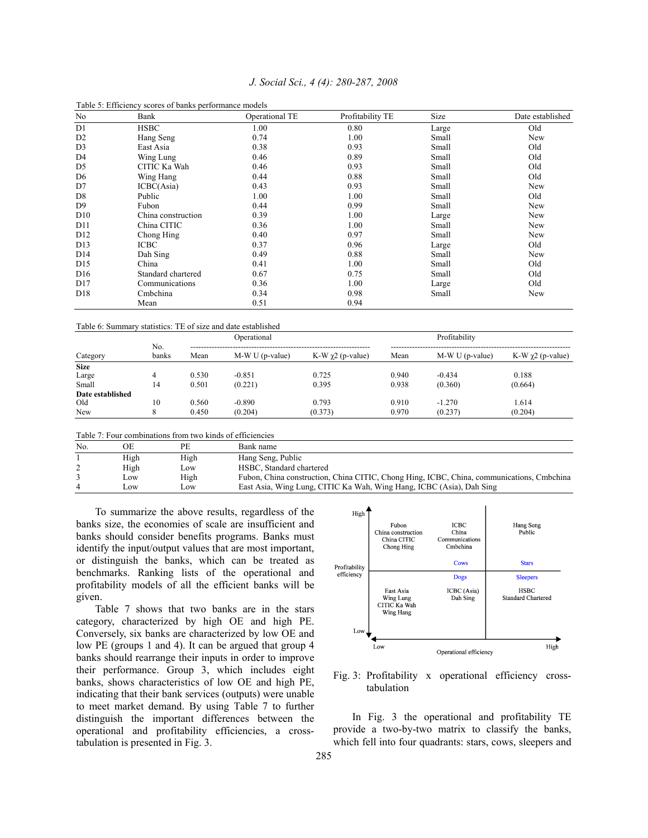| No              | Bank               | Operational TE | Profitability TE | Size  | Date established |
|-----------------|--------------------|----------------|------------------|-------|------------------|
| D1              | <b>HSBC</b>        | 1.00           | 0.80             | Large | Old              |
| D <sub>2</sub>  | Hang Seng          | 0.74           | 1.00             | Small | New              |
| D <sub>3</sub>  | East Asia          | 0.38           | 0.93             | Small | Old              |
| D4              | Wing Lung          | 0.46           | 0.89             | Small | Old              |
| D5              | CITIC Ka Wah       | 0.46           | 0.93             | Small | Old              |
| D <sub>6</sub>  | Wing Hang          | 0.44           | 0.88             | Small | Old              |
| D7              | ICBC(Asia)         | 0.43           | 0.93             | Small | <b>New</b>       |
| D <sub>8</sub>  | Public             | 1.00           | 1.00             | Small | Old              |
| D <sub>9</sub>  | Fubon              | 0.44           | 0.99             | Small | New              |
| D10             | China construction | 0.39           | 1.00             | Large | New              |
| D11             | China CITIC        | 0.36           | 1.00             | Small | New              |
| D <sub>12</sub> | Chong Hing         | 0.40           | 0.97             | Small | New              |
| D13             | <b>ICBC</b>        | 0.37           | 0.96             | Large | Old              |
| D <sub>14</sub> | Dah Sing           | 0.49           | 0.88             | Small | New              |
| D <sub>15</sub> | China              | 0.41           | 1.00             | Small | Old              |
| D <sub>16</sub> | Standard chartered | 0.67           | 0.75             | Small | Old              |
| D17             | Communications     | 0.36           | 1.00             | Large | Old              |
| D <sub>18</sub> | Cmbchina           | 0.34           | 0.98             | Small | New              |
|                 | Mean               | 0.51           | 0.94             |       |                  |

## *J. Social Sci., 4 (4): 280-287, 2008*

#### Table 6: Summary statistics: TE of size and date established

Table 5: Efficiency scores of banks performance models

|                  |              |       | Operational      |                     |       | Profitability   |                        |
|------------------|--------------|-------|------------------|---------------------|-------|-----------------|------------------------|
| Category         | No.<br>banks | Mean  | $M-W U(p-value)$ | K-W $χ$ 2 (p-value) | Mean  | $M-WU(p-value)$ | K-W $\chi$ 2 (p-value) |
| <b>Size</b>      |              |       |                  |                     |       |                 |                        |
| Large            |              | 0.530 | $-0.851$         | 0.725               | 0.940 | $-0.434$        | 0.188                  |
| Small            | 14           | 0.501 | (0.221)          | 0.395               | 0.938 | (0.360)         | (0.664)                |
| Date established |              |       |                  |                     |       |                 |                        |
| Old              | 10           | 0.560 | $-0.890$         | 0.793               | 0.910 | $-1.270$        | 1.614                  |
| New              |              | 0.450 | (0.204)          | (0.373)             | 0.970 | (0.237)         | (0.204)                |

Table 7: Four combinations from two kinds of efficiencies

| No. | ЭE       | PE   | Bank name                                                                                 |
|-----|----------|------|-------------------------------------------------------------------------------------------|
|     | High     | High | Hang Seng, Public                                                                         |
|     | High     | Low  | HSBC. Standard chartered                                                                  |
|     | Low      | High | Fubon, China construction, China CITIC, Chong Hing, ICBC, China, communications, Cmbchina |
|     | $\Omega$ | Low  | East Asia, Wing Lung, CITIC Ka Wah, Wing Hang, ICBC (Asia), Dah Sing                      |

 To summarize the above results, regardless of the banks size, the economies of scale are insufficient and banks should consider benefits programs. Banks must identify the input/output values that are most important, or distinguish the banks, which can be treated as benchmarks. Ranking lists of the operational and profitability models of all the efficient banks will be given.

 Table 7 shows that two banks are in the stars category, characterized by high OE and high PE. Conversely, six banks are characterized by low OE and low PE (groups 1 and 4). It can be argued that group 4 banks should rearrange their inputs in order to improve their performance. Group 3, which includes eight banks, shows characteristics of low OE and high PE, indicating that their bank services (outputs) were unable to meet market demand. By using Table 7 to further distinguish the important differences between the operational and profitability efficiencies, a crosstabulation is presented in Fig. 3.



Fig. 3: Profitability x operational efficiency crosstabulation

 In Fig. 3 the operational and profitability TE provide a two-by-two matrix to classify the banks, which fell into four quadrants: stars, cows, sleepers and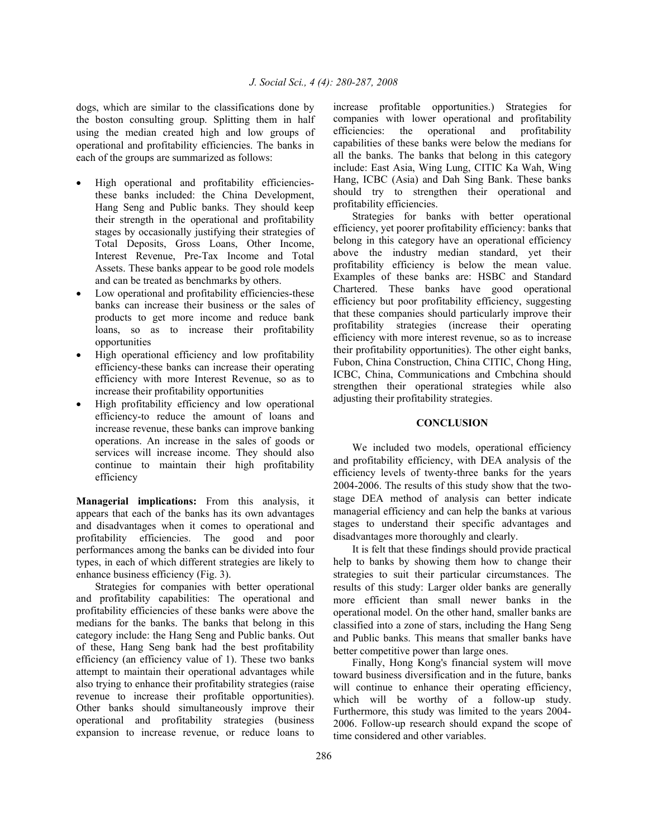dogs, which are similar to the classifications done by the boston consulting group. Splitting them in half using the median created high and low groups of operational and profitability efficiencies. The banks in each of the groups are summarized as follows:

- High operational and profitability efficienciesthese banks included: the China Development, Hang Seng and Public banks. They should keep their strength in the operational and profitability stages by occasionally justifying their strategies of Total Deposits, Gross Loans, Other Income, Interest Revenue, Pre-Tax Income and Total Assets. These banks appear to be good role models and can be treated as benchmarks by others.
- Low operational and profitability efficiencies-these banks can increase their business or the sales of products to get more income and reduce bank loans, so as to increase their profitability opportunities
- High operational efficiency and low profitability efficiency-these banks can increase their operating efficiency with more Interest Revenue, so as to increase their profitability opportunities
- High profitability efficiency and low operational efficiency-to reduce the amount of loans and increase revenue, these banks can improve banking operations. An increase in the sales of goods or services will increase income. They should also continue to maintain their high profitability efficiency

**Managerial implications:** From this analysis, it appears that each of the banks has its own advantages and disadvantages when it comes to operational and profitability efficiencies. The good and poor performances among the banks can be divided into four types, in each of which different strategies are likely to enhance business efficiency (Fig. 3).

 Strategies for companies with better operational and profitability capabilities: The operational and profitability efficiencies of these banks were above the medians for the banks. The banks that belong in this category include: the Hang Seng and Public banks. Out of these, Hang Seng bank had the best profitability efficiency (an efficiency value of 1). These two banks attempt to maintain their operational advantages while also trying to enhance their profitability strategies (raise revenue to increase their profitable opportunities). Other banks should simultaneously improve their operational and profitability strategies (business expansion to increase revenue, or reduce loans to

increase profitable opportunities.) Strategies for companies with lower operational and profitability efficiencies: the operational and profitability capabilities of these banks were below the medians for all the banks. The banks that belong in this category include: East Asia, Wing Lung, CITIC Ka Wah, Wing Hang, ICBC (Asia) and Dah Sing Bank. These banks should try to strengthen their operational and profitability efficiencies.

 Strategies for banks with better operational efficiency, yet poorer profitability efficiency: banks that belong in this category have an operational efficiency above the industry median standard, yet their profitability efficiency is below the mean value. Examples of these banks are: HSBC and Standard Chartered. These banks have good operational efficiency but poor profitability efficiency, suggesting that these companies should particularly improve their profitability strategies (increase their operating efficiency with more interest revenue, so as to increase their profitability opportunities). The other eight banks, Fubon, China Construction, China CITIC, Chong Hing, ICBC, China, Communications and Cmbchina should strengthen their operational strategies while also adjusting their profitability strategies.

## **CONCLUSION**

We included two models, operational efficiency and profitability efficiency, with DEA analysis of the efficiency levels of twenty-three banks for the years 2004-2006. The results of this study show that the twostage DEA method of analysis can better indicate managerial efficiency and can help the banks at various stages to understand their specific advantages and disadvantages more thoroughly and clearly.

 It is felt that these findings should provide practical help to banks by showing them how to change their strategies to suit their particular circumstances. The results of this study: Larger older banks are generally more efficient than small newer banks in the operational model. On the other hand, smaller banks are classified into a zone of stars, including the Hang Seng and Public banks. This means that smaller banks have better competitive power than large ones.

 Finally, Hong Kong's financial system will move toward business diversification and in the future, banks will continue to enhance their operating efficiency, which will be worthy of a follow-up study. Furthermore, this study was limited to the years 2004- 2006. Follow-up research should expand the scope of time considered and other variables.